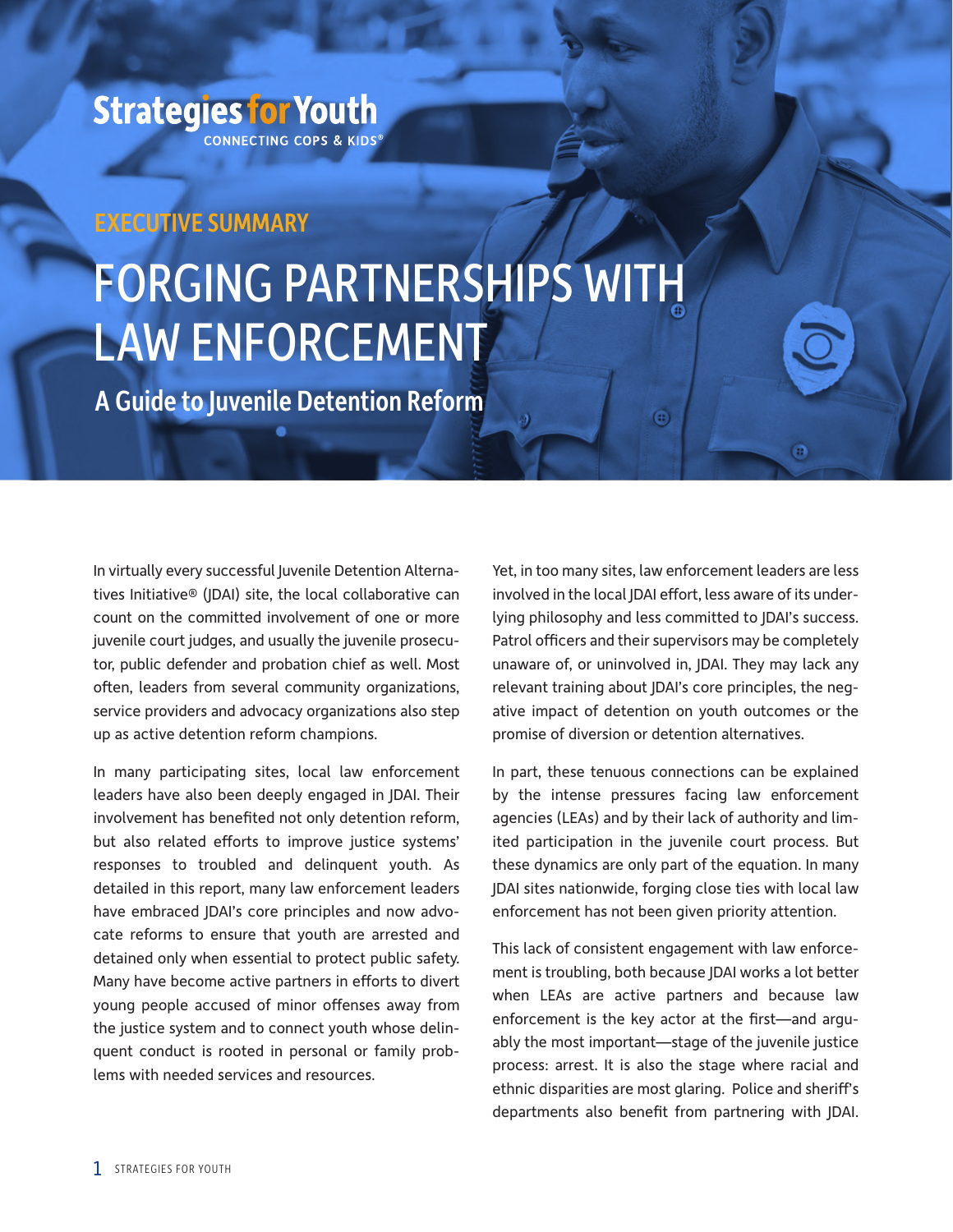## **Strategies for Youth CONNECTING COPS & KIDS®**

# EXECUTIVE SUMMARY

# FORGING PARTNERSHIPS WITH LAW ENFORCEMENT

A Guide to Juvenile Detention Reform

In virtually every successful Juvenile Detention Alternatives Initiative® (JDAI) site, the local collaborative can count on the committed involvement of one or more juvenile court judges, and usually the juvenile prosecutor, public defender and probation chief as well. Most often, leaders from several community organizations, service providers and advocacy organizations also step up as active detention reform champions.

In many participating sites, local law enforcement leaders have also been deeply engaged in JDAI. Their involvement has benefited not only detention reform, but also related efforts to improve justice systems' responses to troubled and delinquent youth. As detailed in this report, many law enforcement leaders have embraced JDAI's core principles and now advocate reforms to ensure that youth are arrested and detained only when essential to protect public safety. Many have become active partners in efforts to divert young people accused of minor offenses away from the justice system and to connect youth whose delinquent conduct is rooted in personal or family problems with needed services and resources.

Yet, in too many sites, law enforcement leaders are less involved in the local JDAI effort, less aware of its underlying philosophy and less committed to JDAI's success. Patrol officers and their supervisors may be completely unaware of, or uninvolved in, JDAI. They may lack any relevant training about JDAI's core principles, the negative impact of detention on youth outcomes or the promise of diversion or detention alternatives.

 $\bigcirc$ 

In part, these tenuous connections can be explained by the intense pressures facing law enforcement agencies (LEAs) and by their lack of authority and limited participation in the juvenile court process. But these dynamics are only part of the equation. In many JDAI sites nationwide, forging close ties with local law enforcement has not been given priority attention.

This lack of consistent engagement with law enforcement is troubling, both because JDAI works a lot better when LEAs are active partners and because law enforcement is the key actor at the first—and arguably the most important—stage of the juvenile justice process: arrest. It is also the stage where racial and ethnic disparities are most glaring. Police and sheriff's departments also benefit from partnering with JDAI.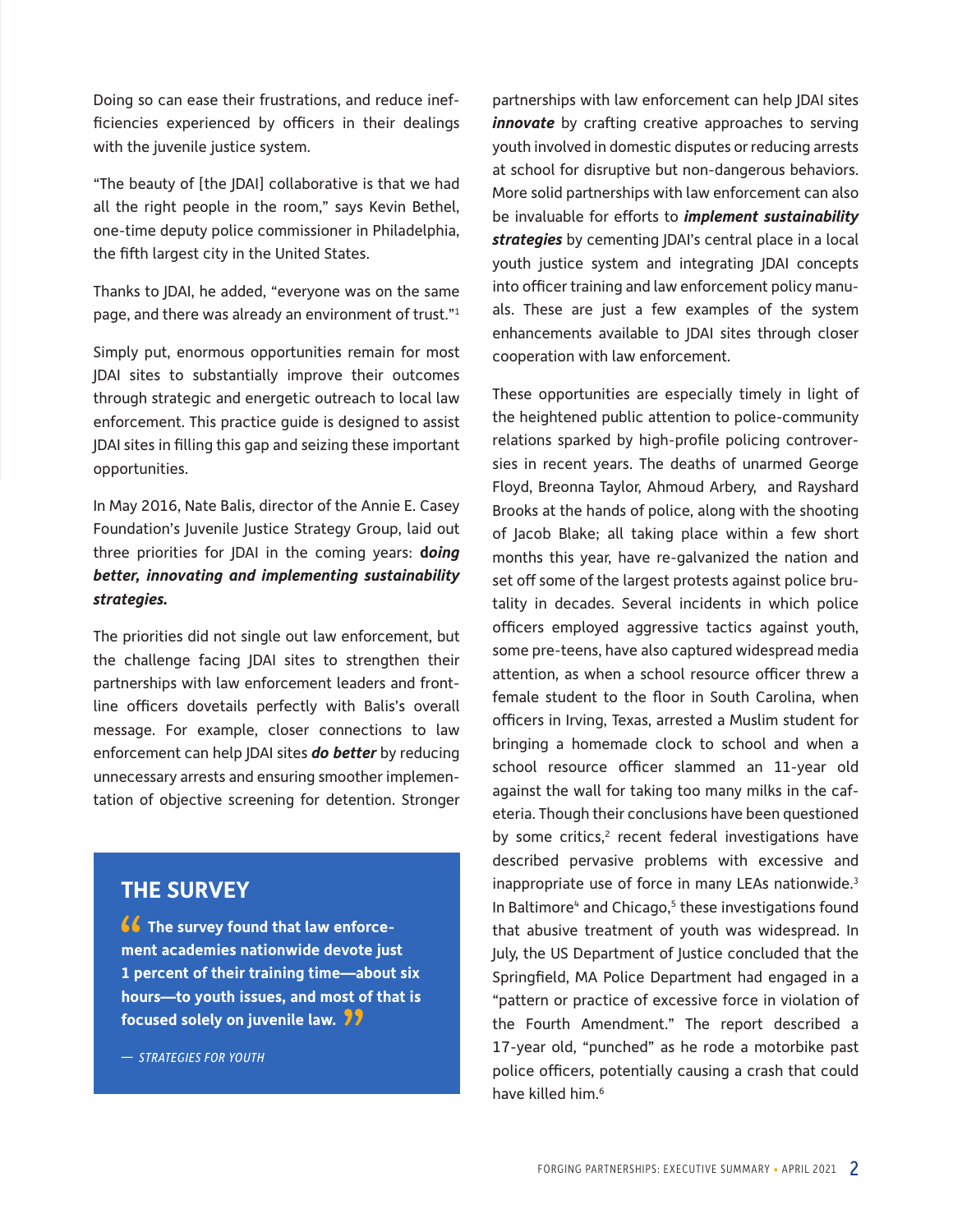Doing so can ease their frustrations, and reduce inefficiencies experienced by officers in their dealings with the juvenile justice system.

"The beauty of [the JDAI] collaborative is that we had all the right people in the room," says Kevin Bethel, one-time deputy police commissioner in Philadelphia, the fifth largest city in the United States.

Thanks to JDAI, he added, "everyone was on the same page, and there was already an environment of trust."1

Simply put, enormous opportunities remain for most JDAI sites to substantially improve their outcomes through strategic and energetic outreach to local law enforcement. This practice guide is designed to assist JDAI sites in filling this gap and seizing these important opportunities.

In May 2016, Nate Balis, director of the Annie E. Casey Foundation's Juvenile Justice Strategy Group, laid out three priorities for JDAI in the coming years: **d***oing better, innovating and implementing sustainability strategies.*

The priorities did not single out law enforcement, but the challenge facing JDAI sites to strengthen their partnerships with law enforcement leaders and frontline officers dovetails perfectly with Balis's overall message. For example, closer connections to law enforcement can help JDAI sites *do better* by reducing unnecessary arrests and ensuring smoother implementation of objective screening for detention. Stronger

### **THE SURVEY**

*f* The survey found that law enforce**ment academies nationwide devote just 1 percent of their training time—about six hours—to youth issues, and most of that is focused solely on juvenile law.** 

*— STRATEGIES FOR YOUTH* 

partnerships with law enforcement can help JDAI sites *innovate* by crafting creative approaches to serving youth involved in domestic disputes or reducing arrests at school for disruptive but non-dangerous behaviors. More solid partnerships with law enforcement can also be invaluable for efforts to *implement sustainability strategies* by cementing JDAI's central place in a local youth justice system and integrating JDAI concepts into officer training and law enforcement policy manuals. These are just a few examples of the system enhancements available to JDAI sites through closer cooperation with law enforcement.

These opportunities are especially timely in light of the heightened public attention to police-community relations sparked by high-profile policing controversies in recent years. The deaths of unarmed George Floyd, Breonna Taylor, Ahmoud Arbery, and Rayshard Brooks at the hands of police, along with the shooting of Jacob Blake; all taking place within a few short months this year, have re-galvanized the nation and set off some of the largest protests against police brutality in decades. Several incidents in which police officers employed aggressive tactics against youth, some pre-teens, have also captured widespread media attention, as when a school resource officer threw a female student to the floor in South Carolina, when officers in Irving, Texas, arrested a Muslim student for bringing a homemade clock to school and when a school resource officer slammed an 11-year old against the wall for taking too many milks in the cafeteria. Though their conclusions have been questioned by some critics, $2$  recent federal investigations have described pervasive problems with excessive and inappropriate use of force in many LEAs nationwide.3 In Baltimore $4$  and Chicago, $5$  these investigations found that abusive treatment of youth was widespread. In July, the US Department of Justice concluded that the Springfield, MA Police Department had engaged in a "pattern or practice of excessive force in violation of the Fourth Amendment." The report described a 17-year old, "punched" as he rode a motorbike past police officers, potentially causing a crash that could have killed him.6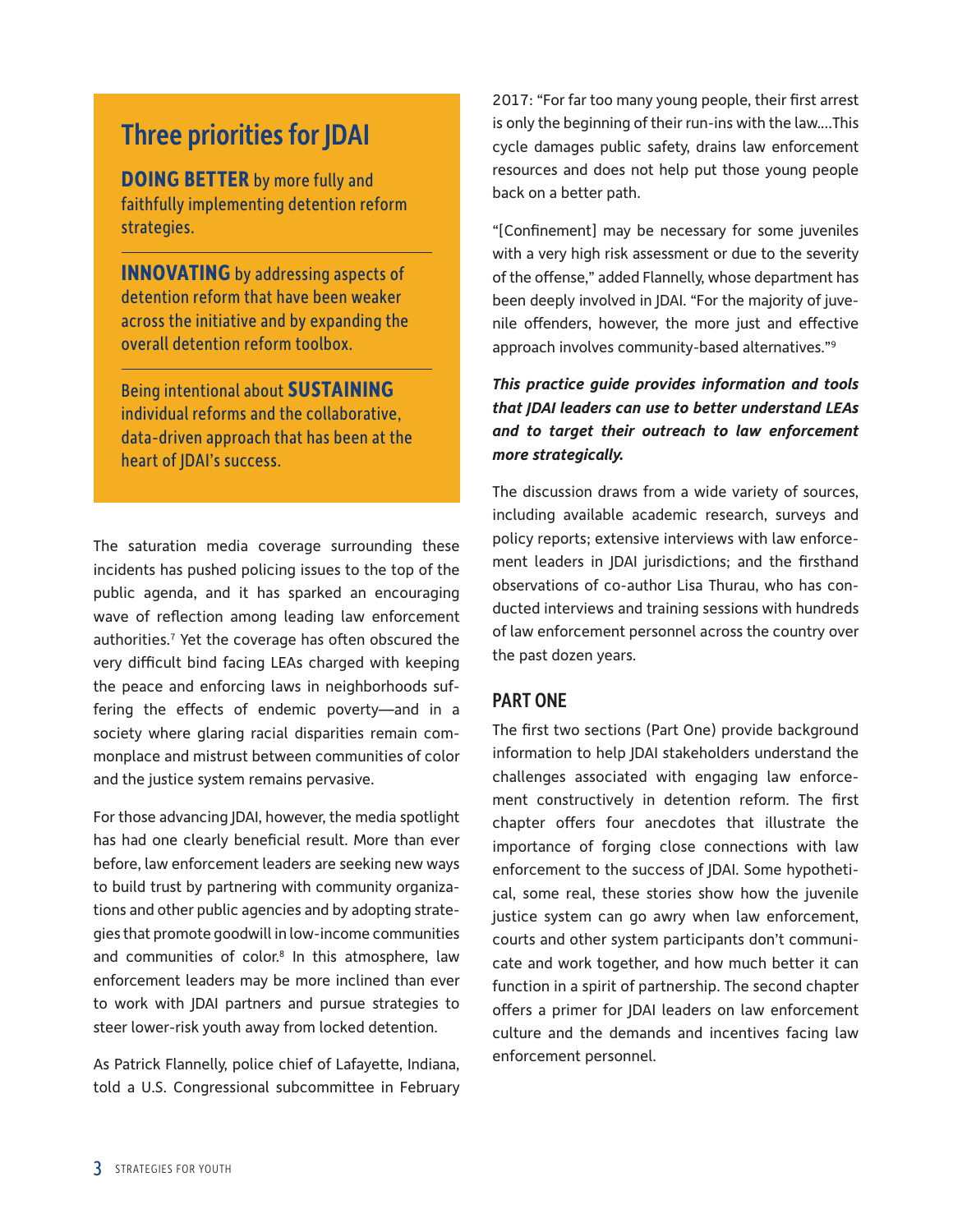# Three priorities for JDAI

**DOING BETTER** by more fully and faithfully implementing detention reform strategies.

**INNOVATING** by addressing aspects of detention reform that have been weaker across the initiative and by expanding the overall detention reform toolbox.

Being intentional about **SUSTAINING** individual reforms and the collaborative, data-driven approach that has been at the heart of JDAI's success.

The saturation media coverage surrounding these incidents has pushed policing issues to the top of the public agenda, and it has sparked an encouraging wave of reflection among leading law enforcement authorities.<sup>7</sup> Yet the coverage has often obscured the very difficult bind facing LEAs charged with keeping the peace and enforcing laws in neighborhoods suffering the effects of endemic poverty—and in a society where glaring racial disparities remain commonplace and mistrust between communities of color and the justice system remains pervasive.

For those advancing JDAI, however, the media spotlight has had one clearly beneficial result. More than ever before, law enforcement leaders are seeking new ways to build trust by partnering with community organizations and other public agencies and by adopting strategies that promote goodwill in low-income communities and communities of color.<sup>8</sup> In this atmosphere, law enforcement leaders may be more inclined than ever to work with JDAI partners and pursue strategies to steer lower-risk youth away from locked detention.

As Patrick Flannelly, police chief of Lafayette, Indiana, told a U.S. Congressional subcommittee in February 2017: "For far too many young people, their first arrest is only the beginning of their run-ins with the law.…This cycle damages public safety, drains law enforcement resources and does not help put those young people back on a better path.

"[Confinement] may be necessary for some juveniles with a very high risk assessment or due to the severity of the offense," added Flannelly, whose department has been deeply involved in JDAI. "For the majority of juvenile offenders, however, the more just and effective approach involves community-based alternatives."9

#### *This practice guide provides information and tools that JDAI leaders can use to better understand LEAs and to target their outreach to law enforcement more strategically.*

The discussion draws from a wide variety of sources, including available academic research, surveys and policy reports; extensive interviews with law enforcement leaders in JDAI jurisdictions; and the firsthand observations of co-author Lisa Thurau, who has conducted interviews and training sessions with hundreds of law enforcement personnel across the country over the past dozen years.

#### PART ONE

The first two sections (Part One) provide background information to help JDAI stakeholders understand the challenges associated with engaging law enforcement constructively in detention reform. The first chapter offers four anecdotes that illustrate the importance of forging close connections with law enforcement to the success of JDAI. Some hypothetical, some real, these stories show how the juvenile justice system can go awry when law enforcement, courts and other system participants don't communicate and work together, and how much better it can function in a spirit of partnership. The second chapter offers a primer for JDAI leaders on law enforcement culture and the demands and incentives facing law enforcement personnel.